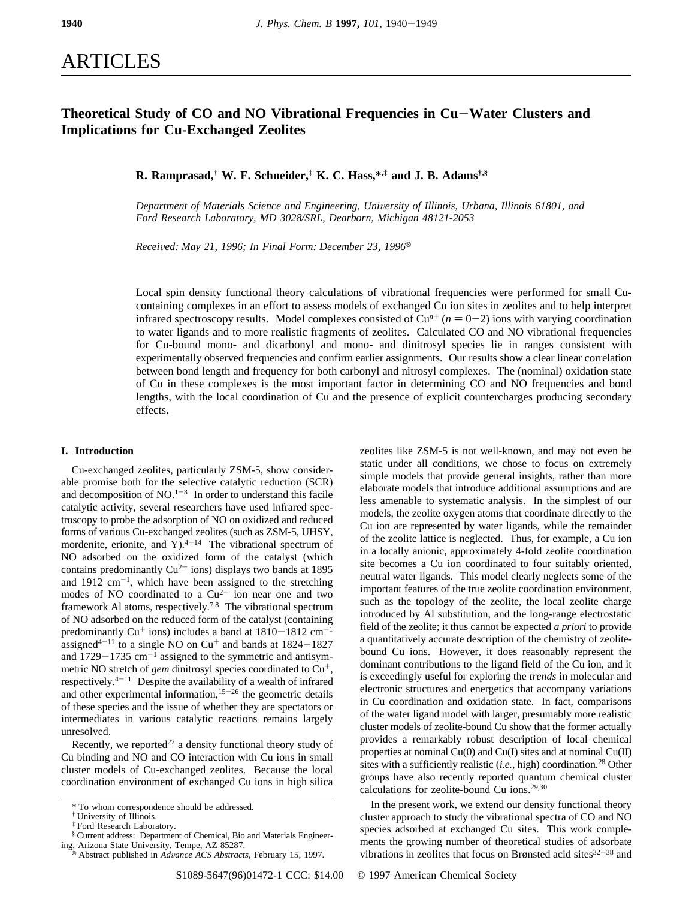# ARTICLES

## **Theoretical Study of CO and NO Vibrational Frequencies in Cu**-**Water Clusters and Implications for Cu-Exchanged Zeolites**

**R. Ramprasad,† W. F. Schneider,‡ K. C. Hass,\*,‡ and J. B. Adams†,§**

*Department of Materials Science and Engineering, University of Illinois, Urbana, Illinois 61801, and Ford Research Laboratory, MD 3028/SRL, Dearborn, Michigan 48121-2053*

*Received: May 21, 1996; In Final Form: December 23, 1996*<sup> $\otimes$ </sup>

Local spin density functional theory calculations of vibrational frequencies were performed for small Cucontaining complexes in an effort to assess models of exchanged Cu ion sites in zeolites and to help interpret infrared spectroscopy results. Model complexes consisted of  $Cu^{n+}$  ( $n = 0-2$ ) ions with varying coordination to water ligands and to more realistic fragments of zeolites. Calculated CO and NO vibrational frequencies for Cu-bound mono- and dicarbonyl and mono- and dinitrosyl species lie in ranges consistent with experimentally observed frequencies and confirm earlier assignments. Our results show a clear linear correlation between bond length and frequency for both carbonyl and nitrosyl complexes. The (nominal) oxidation state of Cu in these complexes is the most important factor in determining CO and NO frequencies and bond lengths, with the local coordination of Cu and the presence of explicit countercharges producing secondary effects.

### **I. Introduction**

Cu-exchanged zeolites, particularly ZSM-5, show considerable promise both for the selective catalytic reduction (SCR) and decomposition of  $NO<sup>1-3</sup>$  In order to understand this facile catalytic activity, several researchers have used infrared spectroscopy to probe the adsorption of NO on oxidized and reduced forms of various Cu-exchanged zeolites (such as ZSM-5, UHSY, mordenite, erionite, and Y<sub>1</sub><sup>4-14</sup> The vibrational spectrum of NO adsorbed on the oxidized form of the catalyst (which contains predominantly  $Cu^{2+}$  ions) displays two bands at 1895 and  $1912 \text{ cm}^{-1}$ , which have been assigned to the stretching modes of NO coordinated to a  $Cu^{2+}$  ion near one and two framework Al atoms, respectively.7,8 The vibrational spectrum of NO adsorbed on the reduced form of the catalyst (containing predominantly Cu<sup>+</sup> ions) includes a band at  $1810-1812$  cm<sup>-1</sup> assigned<sup>4-11</sup> to a single NO on  $Cu<sup>+</sup>$  and bands at  $1824-1827$ and  $1729-1735$  cm<sup>-1</sup> assigned to the symmetric and antisymmetric NO stretch of *gem* dinitrosyl species coordinated to Cu<sup>+</sup>, respectively.4-<sup>11</sup> Despite the availability of a wealth of infrared and other experimental information, $15-26$  the geometric details of these species and the issue of whether they are spectators or intermediates in various catalytic reactions remains largely unresolved.

Recently, we reported<sup>27</sup> a density functional theory study of Cu binding and NO and CO interaction with Cu ions in small cluster models of Cu-exchanged zeolites. Because the local coordination environment of exchanged Cu ions in high silica

zeolites like ZSM-5 is not well-known, and may not even be static under all conditions, we chose to focus on extremely simple models that provide general insights, rather than more elaborate models that introduce additional assumptions and are less amenable to systematic analysis. In the simplest of our models, the zeolite oxygen atoms that coordinate directly to the Cu ion are represented by water ligands, while the remainder of the zeolite lattice is neglected. Thus, for example, a Cu ion in a locally anionic, approximately 4-fold zeolite coordination site becomes a Cu ion coordinated to four suitably oriented, neutral water ligands. This model clearly neglects some of the important features of the true zeolite coordination environment, such as the topology of the zeolite, the local zeolite charge introduced by Al substitution, and the long-range electrostatic field of the zeolite; it thus cannot be expected *a priori* to provide a quantitatively accurate description of the chemistry of zeolitebound Cu ions. However, it does reasonably represent the dominant contributions to the ligand field of the Cu ion, and it is exceedingly useful for exploring the *trends* in molecular and electronic structures and energetics that accompany variations in Cu coordination and oxidation state. In fact, comparisons of the water ligand model with larger, presumably more realistic cluster models of zeolite-bound Cu show that the former actually provides a remarkably robust description of local chemical properties at nominal  $Cu(0)$  and  $Cu(I)$  sites and at nominal  $Cu(II)$ sites with a sufficiently realistic (*i.e.*, high) coordination.<sup>28</sup> Other groups have also recently reported quantum chemical cluster calculations for zeolite-bound Cu ions.29,30

In the present work, we extend our density functional theory cluster approach to study the vibrational spectra of CO and NO species adsorbed at exchanged Cu sites. This work complements the growing number of theoretical studies of adsorbate vibrations in zeolites that focus on Brønsted acid sites<sup>32-38</sup> and

<sup>\*</sup> To whom correspondence should be addressed.

<sup>†</sup> University of Illinois.

<sup>‡</sup> Ford Research Laboratory.

<sup>§</sup> Current address: Department of Chemical, Bio and Materials Engineer-

Abstract published in *Advance ACS Abstracts*, February 15, 1997.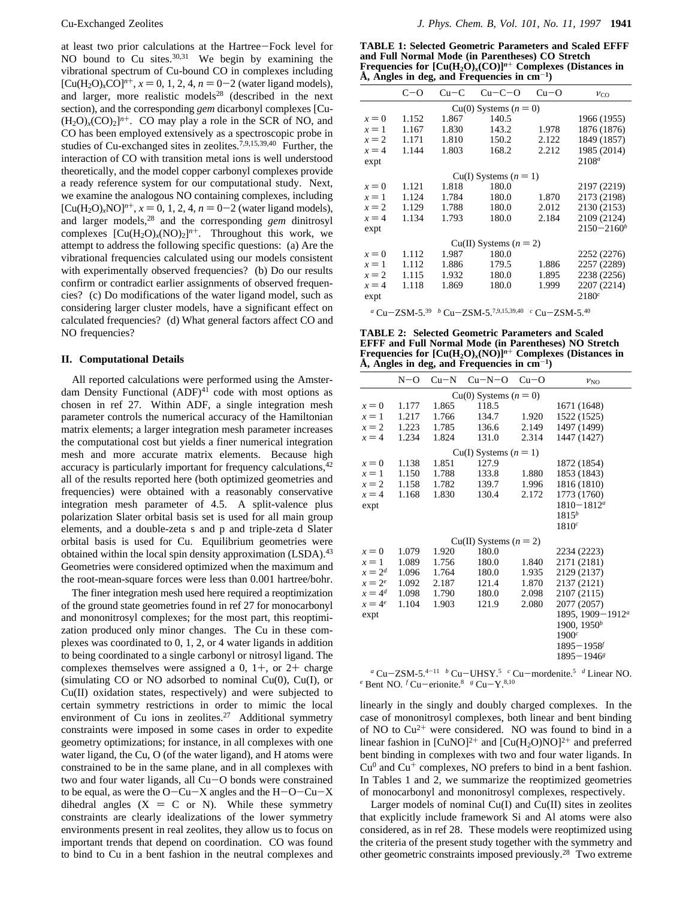at least two prior calculations at the Hartree-Fock level for NO bound to Cu sites.  $30,31$  We begin by examining the vibrational spectrum of Cu-bound CO in complexes including  $[Cu(H<sub>2</sub>O)<sub>x</sub>CO]<sup>n+</sup>$ ,  $x = 0, 1, 2, 4, n = 0-2$  (water ligand models), and larger, more realistic models $28$  (described in the next section), and the corresponding *gem* dicarbonyl complexes [Cu-  $(H_2O)_x(CO)_2$ <sup>n+</sup>. CO may play a role in the SCR of NO, and CO has been employed extensively as a spectroscopic probe in studies of Cu-exchanged sites in zeolites.<sup>7,9,15,39,40</sup> Further, the interaction of CO with transition metal ions is well understood theoretically, and the model copper carbonyl complexes provide a ready reference system for our computational study. Next, we examine the analogous NO containing complexes, including  $[Cu(H<sub>2</sub>O)<sub>x</sub>NO]<sup>n+</sup>$ ,  $x = 0, 1, 2, 4, n = 0-2$  (water ligand models), and larger models,28 and the corresponding *gem* dinitrosyl complexes  $[Cu(H<sub>2</sub>O)<sub>x</sub>(NO)<sub>2</sub>]<sup>n+</sup>$ . Throughout this work, we attempt to address the following specific questions: (a) Are the vibrational frequencies calculated using our models consistent with experimentally observed frequencies? (b) Do our results confirm or contradict earlier assignments of observed frequencies? (c) Do modifications of the water ligand model, such as considering larger cluster models, have a significant effect on calculated frequencies? (d) What general factors affect CO and NO frequencies?

#### **II. Computational Details**

All reported calculations were performed using the Amsterdam Density Functional  $(ADF)^{41}$  code with most options as chosen in ref 27. Within ADF, a single integration mesh parameter controls the numerical accuracy of the Hamiltonian matrix elements; a larger integration mesh parameter increases the computational cost but yields a finer numerical integration mesh and more accurate matrix elements. Because high accuracy is particularly important for frequency calculations,<sup>42</sup> all of the results reported here (both optimized geometries and frequencies) were obtained with a reasonably conservative integration mesh parameter of 4.5. A split-valence plus polarization Slater orbital basis set is used for all main group elements, and a double-zeta s and p and triple-zeta d Slater orbital basis is used for Cu. Equilibrium geometries were obtained within the local spin density approximation (LSDA).<sup>43</sup> Geometries were considered optimized when the maximum and the root-mean-square forces were less than 0.001 hartree/bohr.

The finer integration mesh used here required a reoptimization of the ground state geometries found in ref 27 for monocarbonyl and mononitrosyl complexes; for the most part, this reoptimization produced only minor changes. The Cu in these complexes was coordinated to 0, 1, 2, or 4 water ligands in addition to being coordinated to a single carbonyl or nitrosyl ligand. The complexes themselves were assigned a 0,  $1+$ , or  $2+$  charge (simulating CO or NO adsorbed to nominal Cu(0), Cu(I), or Cu(II) oxidation states, respectively) and were subjected to certain symmetry restrictions in order to mimic the local environment of Cu ions in zeolites.<sup>27</sup> Additional symmetry constraints were imposed in some cases in order to expedite geometry optimizations; for instance, in all complexes with one water ligand, the Cu, O (of the water ligand), and H atoms were constrained to be in the same plane, and in all complexes with two and four water ligands, all Cu-O bonds were constrained to be equal, as were the  $O - Cu - X$  angles and the  $H - O - Cu - X$ dihedral angles  $(X = C \text{ or } N)$ . While these symmetry constraints are clearly idealizations of the lower symmetry environments present in real zeolites, they allow us to focus on important trends that depend on coordination. CO was found to bind to Cu in a bent fashion in the neutral complexes and

**TABLE 1: Selected Geometric Parameters and Scaled EFFF and Full Normal Mode (in Parentheses) CO Stretch Frequencies for [Cu(H2O)***x***(CO)]***<sup>n</sup>*<sup>+</sup> **Complexes (Distances in Å, Angles in deg, and Frequencies in cm**-**1)**

|                         | $C - O$ | $Cu-C$ | $Cu-C-O$                   | $Cu-O$ | $v_{\text{CO}}$ |  |  |  |
|-------------------------|---------|--------|----------------------------|--------|-----------------|--|--|--|
| $Cu(0)$ Systems $(n=0)$ |         |        |                            |        |                 |  |  |  |
| $x=0$                   | 1.152   | 1.867  | 140.5                      |        | 1966 (1955)     |  |  |  |
| $x=1$                   | 1.167   | 1.830  | 143.2                      | 1.978  | 1876 (1876)     |  |  |  |
| $x = 2$                 | 1.171   | 1.810  | 150.2                      | 2.122  | 1849 (1857)     |  |  |  |
| $x = 4$                 | 1.144   | 1.803  | 168.2                      | 2.212  | 1985 (2014)     |  |  |  |
| expt                    |         |        |                            |        | $2108^a$        |  |  |  |
|                         |         |        | $Cu(I)$ Systems $(n = 1)$  |        |                 |  |  |  |
| $x=0$                   | 1.121   | 1.818  | 180.0                      |        | 2197 (2219)     |  |  |  |
| $x=1$                   | 1.124   | 1.784  | 180.0                      | 1.870  | 2173 (2198)     |  |  |  |
| $x = 2$                 | 1.129   | 1.788  | 180.0                      | 2.012  | 2130 (2153)     |  |  |  |
| $x = 4$                 | 1.134   | 1.793  | 180.0                      | 2.184  | 2109 (2124)     |  |  |  |
| expt                    |         |        |                            |        | $2150 - 2160^b$ |  |  |  |
|                         |         |        | $Cu(II)$ Systems $(n = 2)$ |        |                 |  |  |  |
| $x=0$                   | 1.112   | 1.987  | 180.0                      |        | 2252 (2276)     |  |  |  |
| $x=1$                   | 1.112   | 1.886  | 179.5                      | 1.886  | 2257 (2289)     |  |  |  |
| $x = 2$                 | 1.115   | 1.932  | 180.0                      | 1.895  | 2238 (2256)     |  |  |  |
| $x = 4$                 | 1.118   | 1.869  | 180.0                      | 1.999  | 2207 (2214)     |  |  |  |
| expt                    |         |        |                            |        | 2180c           |  |  |  |
|                         |         |        |                            |        |                 |  |  |  |

*<sup>a</sup>* Cu-ZSM-5.39 *<sup>b</sup>* Cu-ZSM-5.7,9,15,39,40 *<sup>c</sup>* Cu-ZSM-5.40

**TABLE 2: Selected Geometric Parameters and Scaled EFFF and Full Normal Mode (in Parentheses) NO Stretch Frequencies for**  $\left[\text{Cu}(\text{H}_2\text{O})_r(\text{NO})\right]^{n+}$  **Complexes (Distances in Å, Angles in deg, and Frequencies in cm**-**1)**

|                                                                                                                              | $N-O$ | $Cu-N$ | $Cu-N-O$                   | $Cu-O$ | $\nu_{\rm NO}$               |  |  |
|------------------------------------------------------------------------------------------------------------------------------|-------|--------|----------------------------|--------|------------------------------|--|--|
| Cu(0) Systems $(n = 0)$                                                                                                      |       |        |                            |        |                              |  |  |
| $x=0$                                                                                                                        | 1.177 | 1.865  | 118.5                      |        | 1671 (1648)                  |  |  |
| $x=1$                                                                                                                        | 1.217 | 1.766  | 134.7                      | 1.920  | 1522 (1525)                  |  |  |
| $x = 2$                                                                                                                      | 1.223 | 1.785  | 136.6                      | 2.149  | 1497 (1499)                  |  |  |
| $x = 4$                                                                                                                      | 1.234 | 1.824  | 131.0                      | 2.314  | 1447 (1427)                  |  |  |
|                                                                                                                              |       |        | $Cu(I)$ Systems $(n = 1)$  |        |                              |  |  |
| $x=0$                                                                                                                        | 1.138 | 1.851  | 127.9                      |        | 1872 (1854)                  |  |  |
| $x=1$                                                                                                                        | 1.150 | 1.788  | 133.8                      | 1.880  | 1853 (1843)                  |  |  |
| $x = 2$                                                                                                                      | 1.158 | 1.782  | 139.7                      | 1.996  | 1816 (1810)                  |  |  |
| $x = 4$                                                                                                                      | 1.168 | 1.830  | 130.4                      | 2.172  | 1773 (1760)                  |  |  |
| expt                                                                                                                         |       |        |                            |        | $1810 - 1812^a$              |  |  |
|                                                                                                                              |       |        |                            |        | $1815^{b}$                   |  |  |
|                                                                                                                              |       |        |                            |        | $1810^c$                     |  |  |
|                                                                                                                              |       |        | $Cu(II)$ Systems $(n = 2)$ |        |                              |  |  |
| $x=0$                                                                                                                        | 1.079 | 1.920  | 180.0                      |        | 2234 (2223)                  |  |  |
| $x=1$                                                                                                                        | 1.089 | 1.756  | 180.0                      | 1.840  | 2171 (2181)                  |  |  |
| $x=2^d$                                                                                                                      | 1.096 | 1.764  | 180.0                      | 1.935  | 2129 (2137)                  |  |  |
| $x=2^e$                                                                                                                      | 1.092 | 2.187  | 121.4                      | 1.870  | 2137 (2121)                  |  |  |
| $x = 4^d$                                                                                                                    | 1.098 | 1.790  | 180.0                      | 2.098  | 2107 (2115)                  |  |  |
| $x=4^e$                                                                                                                      | 1.104 | 1.903  | 121.9                      | 2.080  | 2077 (2057)                  |  |  |
| expt                                                                                                                         |       |        |                            |        | 1895, 1909-1912 <sup>a</sup> |  |  |
|                                                                                                                              |       |        |                            |        | 1900, 1950 <sup>b</sup>      |  |  |
|                                                                                                                              |       |        |                            |        | 1900 <sup>c</sup>            |  |  |
|                                                                                                                              |       |        |                            |        | $1895 - 1958$                |  |  |
|                                                                                                                              |       |        |                            |        | $1895 - 1946s$               |  |  |
| <b>76M <math>\epsilon</math></b> 4-11 $\beta$ C <sub>1</sub> , HHEV 5 c C <sub>1</sub> , mondanity 5 d Linear MO<br>$a \sim$ |       |        |                            |        |                              |  |  |

*<sup>a</sup>* Cu-ZSM-5.4-<sup>11</sup> *<sup>b</sup>* Cu-UHSY.5 *<sup>c</sup>* Cu-mordenite.5 *<sup>d</sup>* Linear NO. *e* Bent NO. *f* Cu-erionite.<sup>8</sup> *g* Cu-Y.<sup>8,10</sup>

linearly in the singly and doubly charged complexes. In the case of mononitrosyl complexes, both linear and bent binding of NO to Cu2<sup>+</sup> were considered. NO was found to bind in a linear fashion in  $[CuNO]<sup>2+</sup>$  and  $[Cu(H<sub>2</sub>O)NO]<sup>2+</sup>$  and preferred bent binding in complexes with two and four water ligands. In  $Cu<sup>0</sup>$  and  $Cu<sup>+</sup>$  complexes, NO prefers to bind in a bent fashion. In Tables 1 and 2, we summarize the reoptimized geometries of monocarbonyl and mononitrosyl complexes, respectively.

Larger models of nominal Cu(I) and Cu(II) sites in zeolites that explicitly include framework Si and Al atoms were also considered, as in ref 28. These models were reoptimized using the criteria of the present study together with the symmetry and other geometric constraints imposed previously.28 Two extreme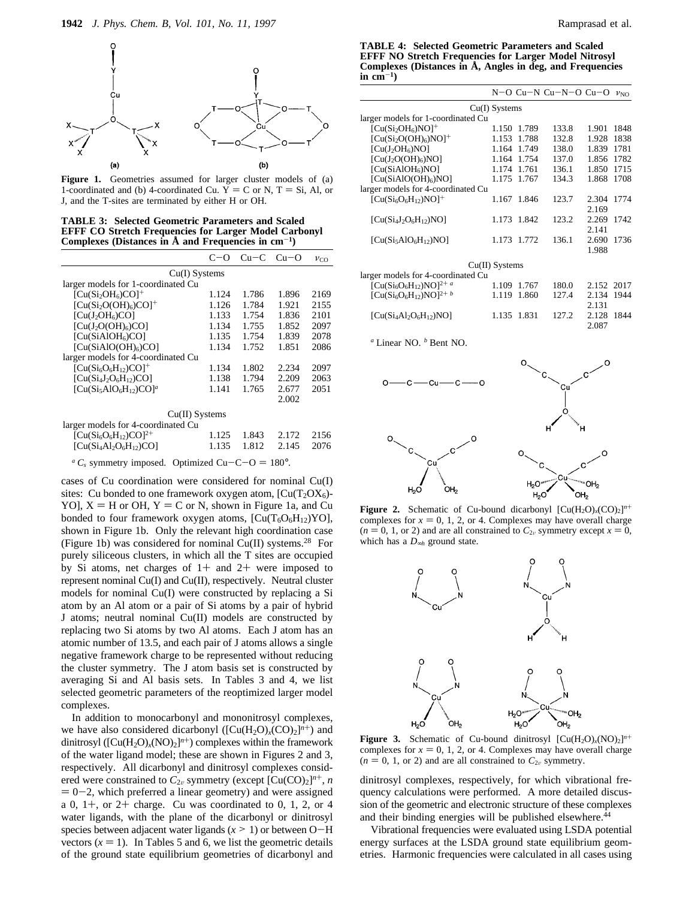

**Figure 1.** Geometries assumed for larger cluster models of (a) 1-coordinated and (b) 4-coordinated Cu.  $\tilde{Y} = C$  or N, T = Si, Al, or J, and the T-sites are terminated by either H or OH.

**TABLE 3: Selected Geometric Parameters and Scaled EFFF CO Stretch Frequencies for Larger Model Carbonyl** Complexes (Distances in  $\dot{A}$  and Frequencies in  $cm^{-1}$ )

|                                                | $(2-1)$ | $Cu-C$ | $Cu-O$ | $v_{\rm CO}$ |  |  |  |
|------------------------------------------------|---------|--------|--------|--------------|--|--|--|
| $Cu(I)$ Systems                                |         |        |        |              |  |  |  |
| larger models for 1-coordinated Cu             |         |        |        |              |  |  |  |
| $[Cu(Si2OH6)CO]+$                              | 1.124   | 1.786  | 1.896  | 2169         |  |  |  |
| $[Cu(Si2O(OH)6)CO]+$                           | 1.126   | 1.784  | 1.921  | 2155         |  |  |  |
| [Cu(J <sub>2</sub> OH <sub>6</sub> )CO]        | 1.133   | 1.754  | 1.836  | 2101         |  |  |  |
| $[Cu(J2O(OH)6)CO]$                             | 1.134   | 1.755  | 1.852  | 2097         |  |  |  |
| [Cu(SiA1OH <sub>6</sub> )CO]                   | 1.135   | 1.754  | 1.839  | 2078         |  |  |  |
| [Cu(SiAlO(OH) <sub>6</sub> )CO]                | 1.134   | 1.752  | 1.851  | 2086         |  |  |  |
| larger models for 4-coordinated Cu             |         |        |        |              |  |  |  |
| $[Cu(Si6O6H12)CO]+$                            | 1.134   | 1.802  | 2.234  | 2097         |  |  |  |
| $\left[ \text{Cu}(Si_4J_2O_6H_{12})CO \right]$ | 1.138   | 1.794  | 2.209  | 2063         |  |  |  |
| $[Cu(Si5AIO6H12)CO]a$                          | 1.141   | 1.765  | 2.677  | 2051         |  |  |  |
|                                                |         |        | 2.002  |              |  |  |  |
| $Cu(II)$ Systems                               |         |        |        |              |  |  |  |
| larger models for 4-coordinated Cu             |         |        |        |              |  |  |  |
| $[Cu(Si6O6H12)CO]2+$                           | 1.125   | 1.843  | 2.172  | 2156         |  |  |  |
| $[Cu(Si4Al2O6H12)CO]$                          | 1.135   | 1.812  | 2.145  | 2076         |  |  |  |

 ${}^aC_s$  symmetry imposed. Optimized Cu-C-O = 180°.

cases of Cu coordination were considered for nominal Cu(I) sites: Cu bonded to one framework oxygen atom,  $[Cu(T_2 O X_6)$ -YO],  $X = H$  or OH,  $Y = C$  or N, shown in Figure 1a, and Cu bonded to four framework oxygen atoms,  $[Cu(T<sub>6</sub>O<sub>6</sub>H<sub>12</sub>)<sup>YO</sup>],$ shown in Figure 1b. Only the relevant high coordination case (Figure 1b) was considered for nominal Cu(II) systems.<sup>28</sup> For purely siliceous clusters, in which all the T sites are occupied by Si atoms, net charges of  $1+$  and  $2+$  were imposed to represent nominal Cu(I) and Cu(II), respectively. Neutral cluster models for nominal Cu(I) were constructed by replacing a Si atom by an Al atom or a pair of Si atoms by a pair of hybrid J atoms; neutral nominal Cu(II) models are constructed by replacing two Si atoms by two Al atoms. Each J atom has an atomic number of 13.5, and each pair of J atoms allows a single negative framework charge to be represented without reducing the cluster symmetry. The J atom basis set is constructed by averaging Si and Al basis sets. In Tables 3 and 4, we list selected geometric parameters of the reoptimized larger model complexes.

In addition to monocarbonyl and mononitrosyl complexes, we have also considered dicarbonyl  $([Cu(H<sub>2</sub>O)<sub>x</sub>(CO)<sub>2</sub>]<sup>n+</sup>)$  and dinitrosyl ( $[Cu(H<sub>2</sub>O)<sub>x</sub>(NO)<sub>2</sub>]<sup>n+</sup>$ ) complexes within the framework of the water ligand model; these are shown in Figures 2 and 3, respectively. All dicarbonyl and dinitrosyl complexes considered were constrained to  $C_{2v}$  symmetry (except  $[Cu(CO)<sub>2</sub>]^{n+}$ , *n*  $= 0 - 2$ , which preferred a linear geometry) and were assigned a 0,  $1+$ , or  $2+$  charge. Cu was coordinated to 0, 1, 2, or 4 water ligands, with the plane of the dicarbonyl or dinitrosyl species between adjacent water ligands  $(x > 1)$  or between O-H vectors  $(x = 1)$ . In Tables 5 and 6, we list the geometric details of the ground state equilibrium geometries of dicarbonyl and 2.131<br>2.128 1844

2.087

**TABLE 4: Selected Geometric Parameters and Scaled EFFF NO Stretch Frequencies for Larger Model Nitrosyl Complexes (Distances in Å, Angles in deg, and Frequencies**  $\mathbf{in}$  cm<sup>-1</sup>)

|                                    |                  |             | N-O Cu-N Cu-N-O Cu-O |            | $\nu_{\rm NO}$ |
|------------------------------------|------------------|-------------|----------------------|------------|----------------|
|                                    | $Cu(I)$ Systems  |             |                      |            |                |
| larger models for 1-coordinated Cu |                  |             |                      |            |                |
| $[Cu(Si2OH6)NO]+$                  | 1.150            | 1.789       | 133.8                | 1.901      | 1848           |
| $[Cu(Si2O(OH)6)NO]+$               | 1.153            | 1.788       | 132.8                | 1.928      | 1838           |
| $\left[ Cu(J_{2}OH_{6})NO \right]$ | 1.164            | 1.749       | 138.0                | 1.839      | 1781           |
| $[Cu(J2O(OH)6)NO]$                 | 1.164            | 1.754       | 137.0                | 1.856      | 1782           |
| [Cu(SiA1OH <sub>6</sub> )NO]       | 1.174            | 1.761       | 136.1                | 1.850      | 1715           |
| [Cu(SiAIO(OH) <sub>6</sub> )NO]    | 1.175            | 1.767       | 134.3                | 1.868      | 1708           |
| larger models for 4-coordinated Cu |                  |             |                      |            |                |
| $[Cu(Si6O6H12)NO]+$                |                  | 1.167 1.846 | 123.7                | 2.304      | 1774           |
|                                    |                  |             |                      | 2.169      |                |
| $\left[ Cu(Si4J2O6H12)NO \right]$  | 1.173            | 1.842       | 123.2                | 2.269      | 1742           |
|                                    |                  |             |                      | 2.141      |                |
| $[Cu(Si5A1O6H12)NO]$               | 1.173            | 1.772       | 136.1                | 2.690      | 1736           |
|                                    |                  |             |                      | 1.988      |                |
|                                    | $Cu(II)$ Systems |             |                      |            |                |
| larger models for 4-coordinated Cu |                  |             |                      |            |                |
| $[Cu(Si6O6H12)NO]2+ a$             | 1.109            | 1.767       | 180.0                | 2.152 2017 |                |
|                                    | 1.119            | 1.860       | 127.4                | 2.134      | 1944           |
| $[Cu(Si6O6H12)NO]2+ b$             |                  |             |                      |            |                |

*<sup>a</sup>* Linear NO. *<sup>b</sup>* Bent NO.



 $[Cu(Si_4Al_2O_6H_{12})NO]$  1.135 1.831 127.2

**Figure 2.** Schematic of Cu-bound dicarbonyl  $[Cu(H_2O)_x(CO)_2]^n$ <sup>+</sup> complexes for  $x = 0, 1, 2,$  or 4. Complexes may have overall charge  $(n = 0, 1, \text{ or } 2)$  and are all constrained to  $C_{2v}$  symmetry except  $x = 0$ , which has a *D*∞*<sup>h</sup>* ground state.



**Figure 3.** Schematic of Cu-bound dinitrosyl  $\left[ Cu(H_2O)_x(NO)_2 \right]^{n+1}$ complexes for  $x = 0, 1, 2$ , or 4. Complexes may have overall charge  $(n = 0, 1, \text{ or } 2)$  and are all constrained to  $C_{2v}$  symmetry.

dinitrosyl complexes, respectively, for which vibrational frequency calculations were performed. A more detailed discussion of the geometric and electronic structure of these complexes and their binding energies will be published elsewhere.<sup>44</sup>

Vibrational frequencies were evaluated using LSDA potential energy surfaces at the LSDA ground state equilibrium geometries. Harmonic frequencies were calculated in all cases using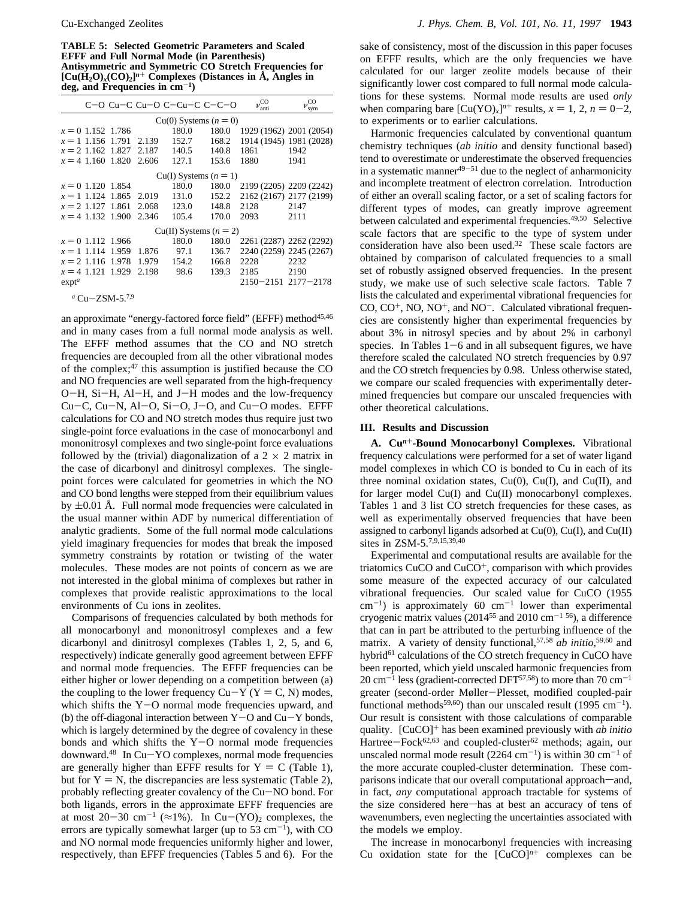**TABLE 5: Selected Geometric Parameters and Scaled EFFF and Full Normal Mode (in Parenthesis) Antisymmetric and Symmetric CO Stretch Frequencies for**  $[Cu(H<sub>2</sub>O)<sub>x</sub>(CO)<sub>2</sub>]<sup>n+</sup>$  Complexes (Distances in Å, Angles in **deg, and Frequencies in cm**-**1)**

|                           |       | $C$ –O Cu–C Cu–O C–Cu–C C–C–O |       | $v^{\text{CO}}$<br>anti     | $\nu^{\rm CO}$<br>sym   |
|---------------------------|-------|-------------------------------|-------|-----------------------------|-------------------------|
|                           |       | $Cu(0)$ Systems $(n = 0)$     |       |                             |                         |
| $x = 0$ 1.152 1.786       |       | 180.0                         | 180.0 | 1929 (1962) 2001 (2054)     |                         |
| $x = 1$ 1.156 1.791 2.139 |       | 152.7                         | 168.2 |                             | 1914 (1945) 1981 (2028) |
| $x = 2$ 1.162 1.827       | 2.187 | 140.5                         | 140.8 | 1861                        | 1942                    |
| $x = 4$ 1.160 1.820       | 2.606 | 127.1                         | 153.6 | 1880                        | 1941                    |
|                           |       | $Cu(I)$ Systems $(n = 1)$     |       |                             |                         |
| $x = 0$ 1.120 1.854       |       | 180.0                         | 180.0 | 2199 (2205) 2209 (2242)     |                         |
| $x = 1$ 1.124 1.865 2.019 |       | 131.0                         | 152.2 | 2162 (2167) 2177 (2199)     |                         |
| $x = 2$ 1.127 1.861       | 2.068 | 123.0                         | 148.8 | 2128                        | 2147                    |
| $x = 4$ 1.132 1.900       | 2.346 | 105.4                         | 170.0 | 2093                        | 2111                    |
|                           |       | $Cu(II)$ Systems $(n = 2)$    |       |                             |                         |
| $x = 0$ 1.112 1.966       |       | 180.0                         | 180.0 | 2261 (2287) 2262 (2292)     |                         |
| $x = 1$ 1.114 1.959       | 1.876 | 97.1                          | 136.7 | 2240 (2259) 2245 (2267)     |                         |
| $x = 2$ 1.116 1.978       | 1.979 | 154.2                         | 166.8 | 2228                        | 2232                    |
| $x = 4$ 1.121 1.929       | 2.198 | 98.6                          | 139.3 | 2185                        | 2190                    |
| exp <sup>a</sup>          |       |                               |       | $2150 - 2151$ $2177 - 2178$ |                         |

*<sup>a</sup>* Cu-ZSM-5.7,9

an approximate "energy-factored force field" (EFFF) method<sup>45,46</sup> and in many cases from a full normal mode analysis as well. The EFFF method assumes that the CO and NO stretch frequencies are decoupled from all the other vibrational modes of the complex;47 this assumption is justified because the CO and NO frequencies are well separated from the high-frequency O-H, Si-H, Al-H, and J-H modes and the low-frequency Cu-C, Cu-N, Al-O, Si-O, J-O, and Cu-O modes. EFFF calculations for CO and NO stretch modes thus require just two single-point force evaluations in the case of monocarbonyl and mononitrosyl complexes and two single-point force evaluations followed by the (trivial) diagonalization of a  $2 \times 2$  matrix in the case of dicarbonyl and dinitrosyl complexes. The singlepoint forces were calculated for geometries in which the NO and CO bond lengths were stepped from their equilibrium values by  $\pm 0.01$  Å. Full normal mode frequencies were calculated in the usual manner within ADF by numerical differentiation of analytic gradients. Some of the full normal mode calculations yield imaginary frequencies for modes that break the imposed symmetry constraints by rotation or twisting of the water molecules. These modes are not points of concern as we are not interested in the global minima of complexes but rather in complexes that provide realistic approximations to the local environments of Cu ions in zeolites.

Comparisons of frequencies calculated by both methods for all monocarbonyl and mononitrosyl complexes and a few dicarbonyl and dinitrosyl complexes (Tables 1, 2, 5, and 6, respectively) indicate generally good agreement between EFFF and normal mode frequencies. The EFFF frequencies can be either higher or lower depending on a competition between (a) the coupling to the lower frequency  $Cu-Y$  (Y = C, N) modes, which shifts the  $Y-O$  normal mode frequencies upward, and (b) the off-diagonal interaction between  $Y-O$  and  $Cu-Y$  bonds, which is largely determined by the degree of covalency in these bonds and which shifts the  $Y-O$  normal mode frequencies downward.48 In Cu-YO complexes, normal mode frequencies are generally higher than EFFF results for  $Y = C$  (Table 1), but for  $Y = N$ , the discrepancies are less systematic (Table 2), probably reflecting greater covalency of the Cu-NO bond. For both ligands, errors in the approximate EFFF frequencies are at most 20-30 cm<sup>-1</sup> ( $\approx$ 1%). In Cu-(YO)<sub>2</sub> complexes, the errors are typically somewhat larger (up to  $53 \text{ cm}^{-1}$ ), with CO and NO normal mode frequencies uniformly higher and lower, respectively, than EFFF frequencies (Tables 5 and 6). For the

sake of consistency, most of the discussion in this paper focuses on EFFF results, which are the only frequencies we have calculated for our larger zeolite models because of their significantly lower cost compared to full normal mode calculations for these systems. Normal mode results are used *only* when comparing bare  $[Cu(YO)_x]^{n^+}$  results,  $x = 1, 2, n = 0-2$ , to experiments or to earlier calculations.

Harmonic frequencies calculated by conventional quantum chemistry techniques (*ab initio* and density functional based) tend to overestimate or underestimate the observed frequencies in a systematic manner $49-51$  due to the neglect of anharmonicity and incomplete treatment of electron correlation. Introduction of either an overall scaling factor, or a set of scaling factors for different types of modes, can greatly improve agreement between calculated and experimental frequencies.<sup>49,50</sup> Selective scale factors that are specific to the type of system under consideration have also been used.32 These scale factors are obtained by comparison of calculated frequencies to a small set of robustly assigned observed frequencies. In the present study, we make use of such selective scale factors. Table 7 lists the calculated and experimental vibrational frequencies for  $CO, CO<sup>+</sup>, NO, NO<sup>+</sup>, and NO<sup>-</sup>. Calculated vibrational frequency$ cies are consistently higher than experimental frequencies by about 3% in nitrosyl species and by about 2% in carbonyl species. In Tables  $1-6$  and in all subsequent figures, we have therefore scaled the calculated NO stretch frequencies by 0.97 and the CO stretch frequencies by 0.98. Unless otherwise stated, we compare our scaled frequencies with experimentally determined frequencies but compare our unscaled frequencies with other theoretical calculations.

#### **III. Results and Discussion**

**A. Cu***<sup>n</sup>*<sup>+</sup>**-Bound Monocarbonyl Complexes.** Vibrational frequency calculations were performed for a set of water ligand model complexes in which CO is bonded to Cu in each of its three nominal oxidation states,  $Cu(0)$ ,  $Cu(I)$ , and  $Cu(II)$ , and for larger model Cu(I) and Cu(II) monocarbonyl complexes. Tables 1 and 3 list CO stretch frequencies for these cases, as well as experimentally observed frequencies that have been assigned to carbonyl ligands adsorbed at  $Cu(0)$ ,  $Cu(I)$ , and  $Cu(II)$ sites in ZSM-5.7,9,15,39,40

Experimental and computational results are available for the triatomics CuCO and CuCO<sup>+</sup>, comparison with which provides some measure of the expected accuracy of our calculated vibrational frequencies. Our scaled value for CuCO (1955  $cm^{-1}$ ) is approximately 60  $cm^{-1}$  lower than experimental cryogenic matrix values (2014<sup>55</sup> and 2010 cm<sup>-1 56</sup>), a difference that can in part be attributed to the perturbing influence of the matrix. A variety of density functional,57,58 *ab initio*, 59,60 and hybrid<sup>61</sup> calculations of the CO stretch frequency in CuCO have been reported, which yield unscaled harmonic frequencies from  $20 \text{ cm}^{-1}$  less (gradient-corrected DFT<sup>57,58</sup>) to more than 70 cm<sup>-1</sup> greater (second-order Møller-Plesset, modified coupled-pair functional methods<sup>59,60</sup>) than our unscaled result (1995 cm<sup>-1</sup>). Our result is consistent with those calculations of comparable quality. [CuCO]<sup>+</sup> has been examined previously with *ab initio* Hartree-Fock<sup>62,63</sup> and coupled-cluster<sup>62</sup> methods; again, our unscaled normal mode result (2264 cm<sup>-1</sup>) is within 30 cm<sup>-1</sup> of the more accurate coupled-cluster determination. These comparisons indicate that our overall computational approach—and, in fact, *any* computational approach tractable for systems of the size considered here-has at best an accuracy of tens of wavenumbers, even neglecting the uncertainties associated with the models we employ.

The increase in monocarbonyl frequencies with increasing Cu oxidation state for the  $[CuCO]^{n+}$  complexes can be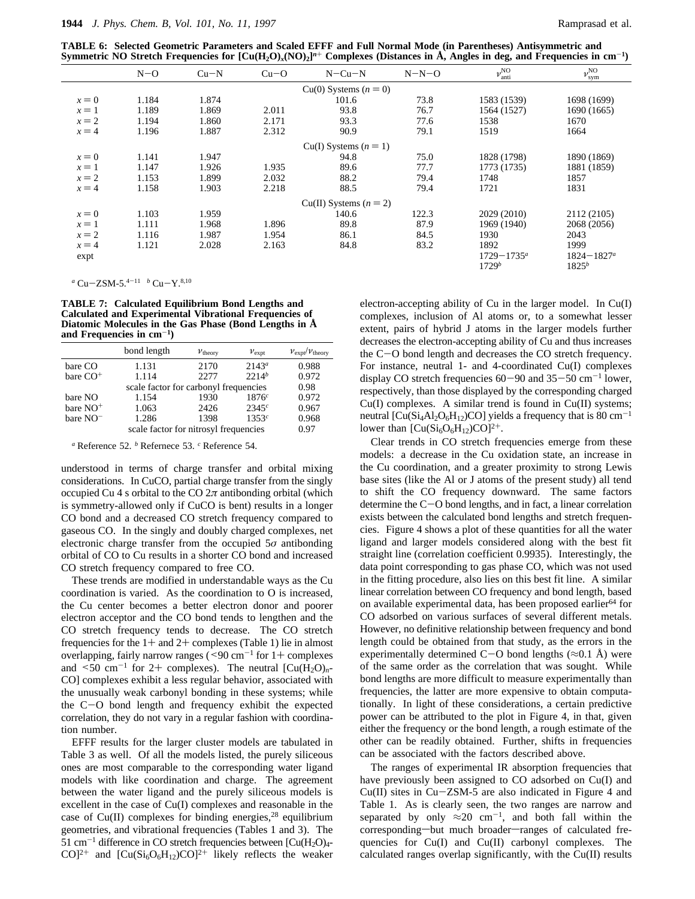**TABLE 6: Selected Geometric Parameters and Scaled EFFF and Full Normal Mode (in Parentheses) Antisymmetric and Symmetric NO Stretch Frequencies for**  $\left[\text{Cu}(H_2\text{O})_x(\text{NO})_2\right]^{\text{n}+}$  **Complexes (Distances in Å, Angles in deg, and Frequencies in cm<sup>-1</sup>)** 

|         | $N-O$ | $Cu-N$ | $Cu-O$ | $N - Cu - N$               | $N-N-O$ | $\nu_{\rm anti}^{\rm NO}$ | $\nu_{\rm sym}^{\rm NO}$ |
|---------|-------|--------|--------|----------------------------|---------|---------------------------|--------------------------|
|         |       |        |        | $Cu(0)$ Systems $(n = 0)$  |         |                           |                          |
| $x=0$   | 1.184 | 1.874  |        | 101.6                      | 73.8    | 1583 (1539)               | 1698 (1699)              |
| $x=1$   | 1.189 | 1.869  | 2.011  | 93.8                       | 76.7    | 1564 (1527)               | 1690 (1665)              |
| $x = 2$ | 1.194 | 1.860  | 2.171  | 93.3                       | 77.6    | 1538                      | 1670                     |
| $x = 4$ | 1.196 | 1.887  | 2.312  | 90.9                       | 79.1    | 1519                      | 1664                     |
|         |       |        |        | $Cu(I)$ Systems $(n = 1)$  |         |                           |                          |
| $x=0$   | 1.141 | 1.947  |        | 94.8                       | 75.0    | 1828 (1798)               | 1890 (1869)              |
| $x=1$   | 1.147 | 1.926  | 1.935  | 89.6                       | 77.7    | 1773 (1735)               | 1881 (1859)              |
| $x = 2$ | 1.153 | 1.899  | 2.032  | 88.2                       | 79.4    | 1748                      | 1857                     |
| $x = 4$ | 1.158 | 1.903  | 2.218  | 88.5                       | 79.4    | 1721                      | 1831                     |
|         |       |        |        | $Cu(II)$ Systems $(n = 2)$ |         |                           |                          |
| $x=0$   | 1.103 | 1.959  |        | 140.6                      | 122.3   | 2029 (2010)               | 2112 (2105)              |
| $x=1$   | 1.111 | 1.968  | 1.896  | 89.8                       | 87.9    | 1969 (1940)               | 2068 (2056)              |
| $x = 2$ | 1.116 | 1.987  | 1.954  | 86.1                       | 84.5    | 1930                      | 2043                     |
| $x = 4$ | 1.121 | 2.028  | 2.163  | 84.8                       | 83.2    | 1892                      | 1999                     |
| expt    |       |        |        |                            |         | $1729 - 1735^a$           | $1824 - 1827^a$          |
|         |       |        |        |                            |         | $1729^b$                  | $1825^b$                 |

*<sup>a</sup>* Cu-ZSM-5.4-<sup>11</sup> *<sup>b</sup>* Cu-Y.8,10

**TABLE 7: Calculated Equilibrium Bond Lengths and Calculated and Experimental Vibrational Frequencies of Diatomic Molecules in the Gas Phase (Bond Lengths in Å and Frequencies in cm**-**1)**

|                      | bond length                           | $v_{\text{theory}}$                   | $v_{\rm expt}$ | $v_{\rm expt}/v_{\rm theory}$ |  |  |  |
|----------------------|---------------------------------------|---------------------------------------|----------------|-------------------------------|--|--|--|
| bare CO              | 1.131                                 | 2170                                  | $2143^a$       | 0.988                         |  |  |  |
| bare $CO+$           | 1.114                                 | 2277                                  | $2214^b$       | 0.972                         |  |  |  |
|                      |                                       | scale factor for carbonyl frequencies |                |                               |  |  |  |
| bare NO              | 1.154                                 | 1930                                  | 1876c          | 0.972                         |  |  |  |
| bare NO <sup>+</sup> | 1.063                                 | 2426                                  | 2345c          | 0.967                         |  |  |  |
| bare $NO^-$          | 1.286                                 | 1398                                  | $1353^c$       | 0.968                         |  |  |  |
|                      | scale factor for nitrosyl frequencies | 0.97                                  |                |                               |  |  |  |

*<sup>a</sup>* Reference 52. *<sup>b</sup>* Refernece 53. *<sup>c</sup>* Reference 54.

understood in terms of charge transfer and orbital mixing considerations. In CuCO, partial charge transfer from the singly occupied Cu 4 s orbital to the CO  $2\pi$  antibonding orbital (which is symmetry-allowed only if CuCO is bent) results in a longer CO bond and a decreased CO stretch frequency compared to gaseous CO. In the singly and doubly charged complexes, net electronic charge transfer from the occupied 5*σ* antibonding orbital of CO to Cu results in a shorter CO bond and increased CO stretch frequency compared to free CO.

These trends are modified in understandable ways as the Cu coordination is varied. As the coordination to O is increased, the Cu center becomes a better electron donor and poorer electron acceptor and the CO bond tends to lengthen and the CO stretch frequency tends to decrease. The CO stretch frequencies for the  $1+$  and  $2+$  complexes (Table 1) lie in almost overlapping, fairly narrow ranges ( $\leq 90$  cm<sup>-1</sup> for 1+ complexes and  $\leq 50$  cm<sup>-1</sup> for 2+ complexes). The neutral  $\left[\text{Cu}(H_2O)_{n}\right]$ CO] complexes exhibit a less regular behavior, associated with the unusually weak carbonyl bonding in these systems; while the C-O bond length and frequency exhibit the expected correlation, they do not vary in a regular fashion with coordination number.

EFFF results for the larger cluster models are tabulated in Table 3 as well. Of all the models listed, the purely siliceous ones are most comparable to the corresponding water ligand models with like coordination and charge. The agreement between the water ligand and the purely siliceous models is excellent in the case of Cu(I) complexes and reasonable in the case of  $Cu(II)$  complexes for binding energies,<sup>28</sup> equilibrium geometries, and vibrational frequencies (Tables 1 and 3). The  $51 \text{ cm}^{-1}$  difference in CO stretch frequencies between  $\text{[Cu(H<sub>2</sub>O)<sub>4</sub>]}$  $CO$ <sup>2+</sup> and  $\left[ Cu(Si<sub>6</sub>O<sub>6</sub>H<sub>12</sub>)CO$ <sup>2+</sup> likely reflects the weaker

electron-accepting ability of Cu in the larger model. In Cu(I) complexes, inclusion of Al atoms or, to a somewhat lesser extent, pairs of hybrid J atoms in the larger models further decreases the electron-accepting ability of Cu and thus increases the C-O bond length and decreases the CO stretch frequency. For instance, neutral 1- and 4-coordinated Cu(I) complexes display CO stretch frequencies  $60-90$  and  $35-50$  cm<sup>-1</sup> lower, respectively, than those displayed by the corresponding charged Cu(I) complexes. A similar trend is found in Cu(II) systems; neutral  $\left[\text{Cu(Si_4Al_2O_6H_{12})CO}\right]$  yields a frequency that is 80 cm<sup>-1</sup> lower than  $\left[\text{Cu(Si<sub>6</sub>O<sub>6</sub>H<sub>12</sub>)CO}\right]^{2+}$ .

Clear trends in CO stretch frequencies emerge from these models: a decrease in the Cu oxidation state, an increase in the Cu coordination, and a greater proximity to strong Lewis base sites (like the Al or J atoms of the present study) all tend to shift the CO frequency downward. The same factors determine the C-O bond lengths, and in fact, a linear correlation exists between the calculated bond lengths and stretch frequencies. Figure 4 shows a plot of these quantities for all the water ligand and larger models considered along with the best fit straight line (correlation coefficient 0.9935). Interestingly, the data point corresponding to gas phase CO, which was not used in the fitting procedure, also lies on this best fit line. A similar linear correlation between CO frequency and bond length, based on available experimental data, has been proposed earlier<sup>64</sup> for CO adsorbed on various surfaces of several different metals. However, no definitive relationship between frequency and bond length could be obtained from that study, as the errors in the experimentally determined C-O bond lengths ( $\approx$ 0.1 Å) were of the same order as the correlation that was sought. While bond lengths are more difficult to measure experimentally than frequencies, the latter are more expensive to obtain computationally. In light of these considerations, a certain predictive power can be attributed to the plot in Figure 4, in that, given either the frequency or the bond length, a rough estimate of the other can be readily obtained. Further, shifts in frequencies can be associated with the factors described above.

The ranges of experimental IR absorption frequencies that have previously been assigned to CO adsorbed on Cu(I) and Cu(II) sites in Cu-ZSM-5 are also indicated in Figure 4 and Table 1. As is clearly seen, the two ranges are narrow and separated by only  $\approx 20$  cm<sup>-1</sup>, and both fall within the corresponding-but much broader-ranges of calculated frequencies for Cu(I) and Cu(II) carbonyl complexes. The calculated ranges overlap significantly, with the Cu(II) results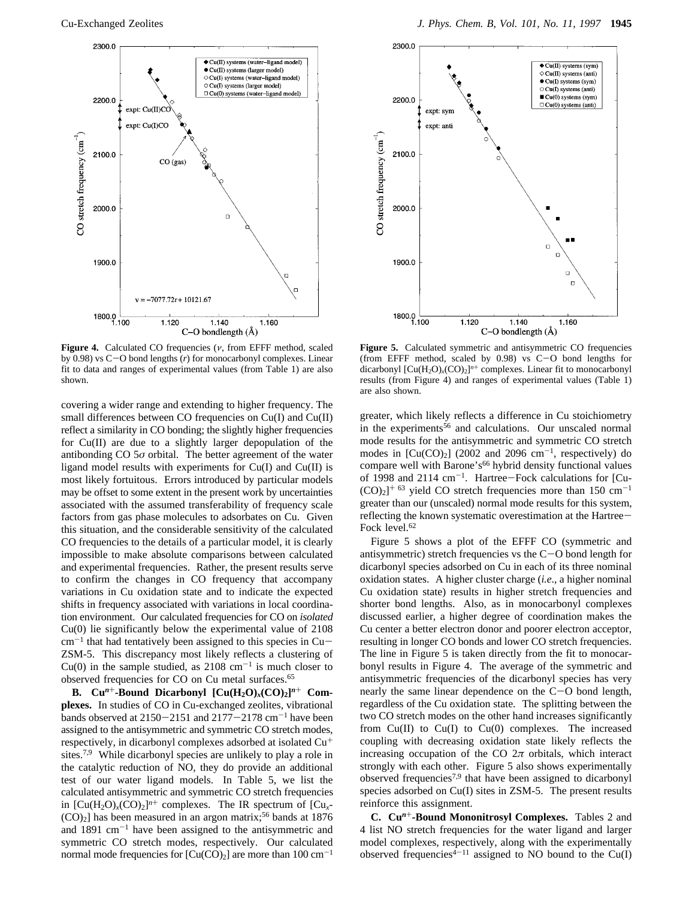

**Figure 4.** Calculated CO frequencies (*ν*, from EFFF method, scaled by 0.98) vs C-O bond lengths (*r*) for monocarbonyl complexes. Linear fit to data and ranges of experimental values (from Table 1) are also shown.

covering a wider range and extending to higher frequency. The small differences between CO frequencies on Cu(I) and Cu(II) reflect a similarity in CO bonding; the slightly higher frequencies for Cu(II) are due to a slightly larger depopulation of the antibonding  $CO$   $5\sigma$  orbital. The better agreement of the water ligand model results with experiments for Cu(I) and Cu(II) is most likely fortuitous. Errors introduced by particular models may be offset to some extent in the present work by uncertainties associated with the assumed transferability of frequency scale factors from gas phase molecules to adsorbates on Cu. Given this situation, and the considerable sensitivity of the calculated CO frequencies to the details of a particular model, it is clearly impossible to make absolute comparisons between calculated and experimental frequencies. Rather, the present results serve to confirm the changes in CO frequency that accompany variations in Cu oxidation state and to indicate the expected shifts in frequency associated with variations in local coordination environment. Our calculated frequencies for CO on *isolated* Cu(0) lie significantly below the experimental value of 2108  $cm^{-1}$  that had tentatively been assigned to this species in Cu-ZSM-5. This discrepancy most likely reflects a clustering of  $Cu(0)$  in the sample studied, as  $2108 \text{ cm}^{-1}$  is much closer to observed frequencies for CO on Cu metal surfaces.65

**B.** Cu<sup>n+</sup>**-Bound Dicarbonyl**  $[Cu(H<sub>2</sub>O)<sub>x</sub>(CO)<sub>2</sub>]$ <sup>n+</sup> Com**plexes.** In studies of CO in Cu-exchanged zeolites, vibrational bands observed at  $2150-2151$  and  $2177-2178$  cm<sup>-1</sup> have been assigned to the antisymmetric and symmetric CO stretch modes, respectively, in dicarbonyl complexes adsorbed at isolated Cu<sup>+</sup> sites.7,9 While dicarbonyl species are unlikely to play a role in the catalytic reduction of NO, they do provide an additional test of our water ligand models. In Table 5, we list the calculated antisymmetric and symmetric CO stretch frequencies in  $[Cu(H<sub>2</sub>O)<sub>x</sub>(CO)<sub>2</sub>]<sup>n+</sup> complexes.$  The IR spectrum of  $[Cu<sub>x</sub> (CO)_2$ ] has been measured in an argon matrix;<sup>56</sup> bands at 1876 and  $1891 \text{ cm}^{-1}$  have been assigned to the antisymmetric and symmetric CO stretch modes, respectively. Our calculated normal mode frequencies for  $[Cu(CO)<sub>2</sub>]$  are more than 100 cm<sup>-1</sup>



**Figure 5.** Calculated symmetric and antisymmetric CO frequencies (from EFFF method, scaled by 0.98) vs C-O bond lengths for dicarbonyl  $[Cu(H<sub>2</sub>O)<sub>x</sub>(CO)<sub>2</sub>]<sup>n+</sup> complexes. Linear fit to monocarbonyl$ results (from Figure 4) and ranges of experimental values (Table 1) are also shown.

greater, which likely reflects a difference in Cu stoichiometry in the experiments<sup>56</sup> and calculations. Our unscaled normal mode results for the antisymmetric and symmetric CO stretch modes in  $\text{[Cu(CO)<sub>2</sub>]}$  (2002 and 2096 cm<sup>-1</sup>, respectively) do compare well with Barone's<sup>66</sup> hybrid density functional values of 1998 and 2114 cm-1. Hartree-Fock calculations for [Cu-  $(CO)_2$ <sup>+ 63</sup> yield CO stretch frequencies more than 150 cm<sup>-1</sup> greater than our (unscaled) normal mode results for this system, reflecting the known systematic overestimation at the Hartree-Fock level.<sup>62</sup>

Figure 5 shows a plot of the EFFF CO (symmetric and antisymmetric) stretch frequencies vs the  $C-O$  bond length for dicarbonyl species adsorbed on Cu in each of its three nominal oxidation states. A higher cluster charge (*i.e*., a higher nominal Cu oxidation state) results in higher stretch frequencies and shorter bond lengths. Also, as in monocarbonyl complexes discussed earlier, a higher degree of coordination makes the Cu center a better electron donor and poorer electron acceptor, resulting in longer CO bonds and lower CO stretch frequencies. The line in Figure 5 is taken directly from the fit to monocarbonyl results in Figure 4. The average of the symmetric and antisymmetric frequencies of the dicarbonyl species has very nearly the same linear dependence on the C-O bond length, regardless of the Cu oxidation state. The splitting between the two CO stretch modes on the other hand increases significantly from  $Cu(II)$  to  $Cu(I)$  to  $Cu(0)$  complexes. The increased coupling with decreasing oxidation state likely reflects the increasing occupation of the CO  $2\pi$  orbitals, which interact strongly with each other. Figure 5 also shows experimentally observed frequencies7,9 that have been assigned to dicarbonyl species adsorbed on Cu(I) sites in ZSM-5. The present results reinforce this assignment.

**C. Cu***<sup>n</sup>*<sup>+</sup>**-Bound Mononitrosyl Complexes.** Tables 2 and 4 list NO stretch frequencies for the water ligand and larger model complexes, respectively, along with the experimentally observed frequencies<sup> $4-11$ </sup> assigned to NO bound to the Cu(I)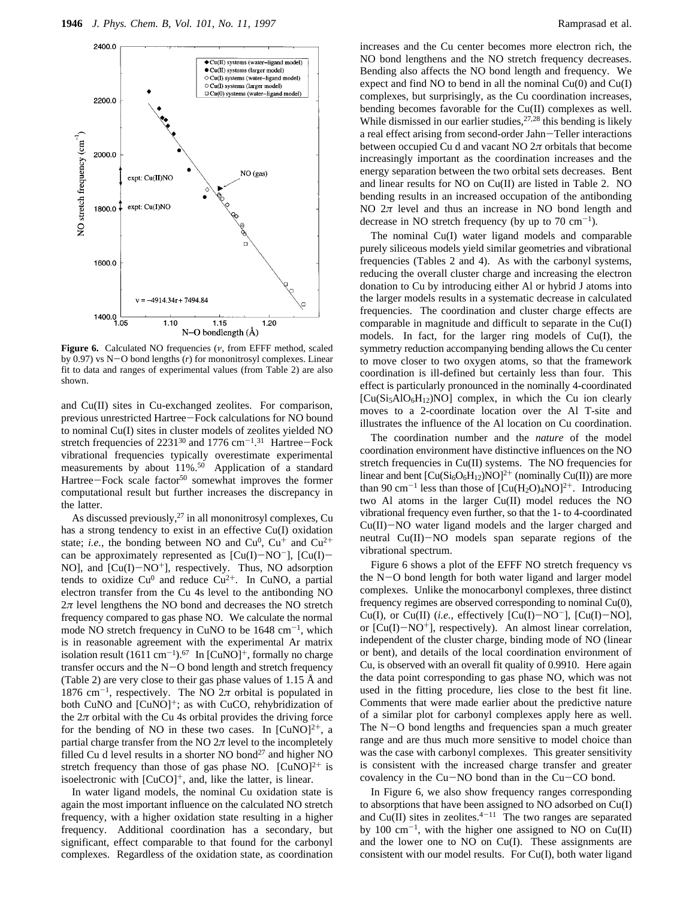

**Figure 6.** Calculated NO frequencies (*ν*, from EFFF method, scaled by 0.97) vs N-O bond lengths (*r*) for mononitrosyl complexes. Linear fit to data and ranges of experimental values (from Table 2) are also shown.

and Cu(II) sites in Cu-exchanged zeolites. For comparison, previous unrestricted Hartree-Fock calculations for NO bound to nominal Cu(I) sites in cluster models of zeolites yielded NO stretch frequencies of  $2231^{30}$  and  $1776$  cm<sup>-1.31</sup> Hartree-Fock vibrational frequencies typically overestimate experimental measurements by about 11%.50 Application of a standard Hartree-Fock scale factor<sup>50</sup> somewhat improves the former computational result but further increases the discrepancy in the latter.

As discussed previously, $27$  in all mononitrosyl complexes, Cu has a strong tendency to exist in an effective Cu(I) oxidation state; *i.e.*, the bonding between NO and  $Cu^0$ ,  $Cu^+$  and  $Cu^{2+}$ can be approximately represented as  $[Cu(I)-NO^-]$ ,  $[Cu(I)-$ NO], and  $[Cu(I)-NO<sup>+</sup>]$ , respectively. Thus, NO adsorption tends to oxidize  $Cu^{0}$  and reduce  $Cu^{2+}$ . In CuNO, a partial electron transfer from the Cu 4s level to the antibonding NO  $2\pi$  level lengthens the NO bond and decreases the NO stretch frequency compared to gas phase NO. We calculate the normal mode NO stretch frequency in CuNO to be  $1648 \text{ cm}^{-1}$ , which is in reasonable agreement with the experimental Ar matrix isolation result (1611 cm<sup>-1</sup>).<sup>67</sup> In [CuNO]<sup>+</sup>, formally no charge transfer occurs and the  $N-O$  bond length and stretch frequency (Table 2) are very close to their gas phase values of 1.15 Å and 1876 cm<sup>-1</sup>, respectively. The NO  $2\pi$  orbital is populated in both CuNO and [CuNO]<sup>+</sup>; as with CuCO, rehybridization of the  $2\pi$  orbital with the Cu 4s orbital provides the driving force for the bending of NO in these two cases. In  $[CuNO]<sup>2+</sup>$ , a partial charge transfer from the NO  $2\pi$  level to the incompletely filled Cu d level results in a shorter NO bond<sup>27</sup> and higher NO stretch frequency than those of gas phase NO.  $[CuNO]<sup>2+</sup>$  is isoelectronic with  $[CuCO]^{+}$ , and, like the latter, is linear.

In water ligand models, the nominal Cu oxidation state is again the most important influence on the calculated NO stretch frequency, with a higher oxidation state resulting in a higher frequency. Additional coordination has a secondary, but significant, effect comparable to that found for the carbonyl complexes. Regardless of the oxidation state, as coordination

increases and the Cu center becomes more electron rich, the NO bond lengthens and the NO stretch frequency decreases. Bending also affects the NO bond length and frequency. We expect and find NO to bend in all the nominal  $Cu(0)$  and  $Cu(I)$ complexes, but surprisingly, as the Cu coordination increases, bending becomes favorable for the Cu(II) complexes as well. While dismissed in our earlier studies, $27,28$  this bending is likely a real effect arising from second-order Jahn-Teller interactions between occupied Cu d and vacant NO 2*π* orbitals that become increasingly important as the coordination increases and the energy separation between the two orbital sets decreases. Bent and linear results for NO on Cu(II) are listed in Table 2. NO bending results in an increased occupation of the antibonding NO  $2\pi$  level and thus an increase in NO bond length and decrease in NO stretch frequency (by up to  $70 \text{ cm}^{-1}$ ).

The nominal Cu(I) water ligand models and comparable purely siliceous models yield similar geometries and vibrational frequencies (Tables 2 and 4). As with the carbonyl systems, reducing the overall cluster charge and increasing the electron donation to Cu by introducing either Al or hybrid J atoms into the larger models results in a systematic decrease in calculated frequencies. The coordination and cluster charge effects are comparable in magnitude and difficult to separate in the Cu(I) models. In fact, for the larger ring models of Cu(I), the symmetry reduction accompanying bending allows the Cu center to move closer to two oxygen atoms, so that the framework coordination is ill-defined but certainly less than four. This effect is particularly pronounced in the nominally 4-coordinated  $[Cu(Si<sub>5</sub>AIO<sub>6</sub>H<sub>12</sub>)NO]$  complex, in which the Cu ion clearly moves to a 2-coordinate location over the Al T-site and illustrates the influence of the Al location on Cu coordination.

The coordination number and the *nature* of the model coordination environment have distinctive influences on the NO stretch frequencies in Cu(II) systems. The NO frequencies for linear and bent  $[Cu(Si<sub>6</sub>O<sub>6</sub>H<sub>12</sub>)NO]<sup>2+</sup>$  (nominally Cu(II)) are more than 90 cm<sup>-1</sup> less than those of  $[Cu(H_2O)_4NO]^2$ <sup>+</sup>. Introducing two Al atoms in the larger Cu(II) model reduces the NO vibrational frequency even further, so that the 1- to 4-coordinated Cu(II)-NO water ligand models and the larger charged and neutral Cu(II)-NO models span separate regions of the vibrational spectrum.

Figure 6 shows a plot of the EFFF NO stretch frequency vs the N-O bond length for both water ligand and larger model complexes. Unlike the monocarbonyl complexes, three distinct frequency regimes are observed corresponding to nominal Cu(0), Cu(I), or Cu(II) (*i.e.*, effectively  $[Cu(I)-NO<sup>-</sup>]$ ,  $[Cu(I)-NO]$ , or  $[Cu(I)-NO<sup>+</sup>]$ , respectively). An almost linear correlation, independent of the cluster charge, binding mode of NO (linear or bent), and details of the local coordination environment of Cu, is observed with an overall fit quality of 0.9910. Here again the data point corresponding to gas phase NO, which was not used in the fitting procedure, lies close to the best fit line. Comments that were made earlier about the predictive nature of a similar plot for carbonyl complexes apply here as well. The  $N-O$  bond lengths and frequencies span a much greater range and are thus much more sensitive to model choice than was the case with carbonyl complexes. This greater sensitivity is consistent with the increased charge transfer and greater covalency in the Cu-NO bond than in the Cu-CO bond.

In Figure 6, we also show frequency ranges corresponding to absorptions that have been assigned to NO adsorbed on Cu(I) and  $Cu(II)$  sites in zeolites.<sup>4-11</sup> The two ranges are separated by 100  $cm^{-1}$ , with the higher one assigned to NO on Cu(II) and the lower one to NO on Cu(I). These assignments are consistent with our model results. For Cu(I), both water ligand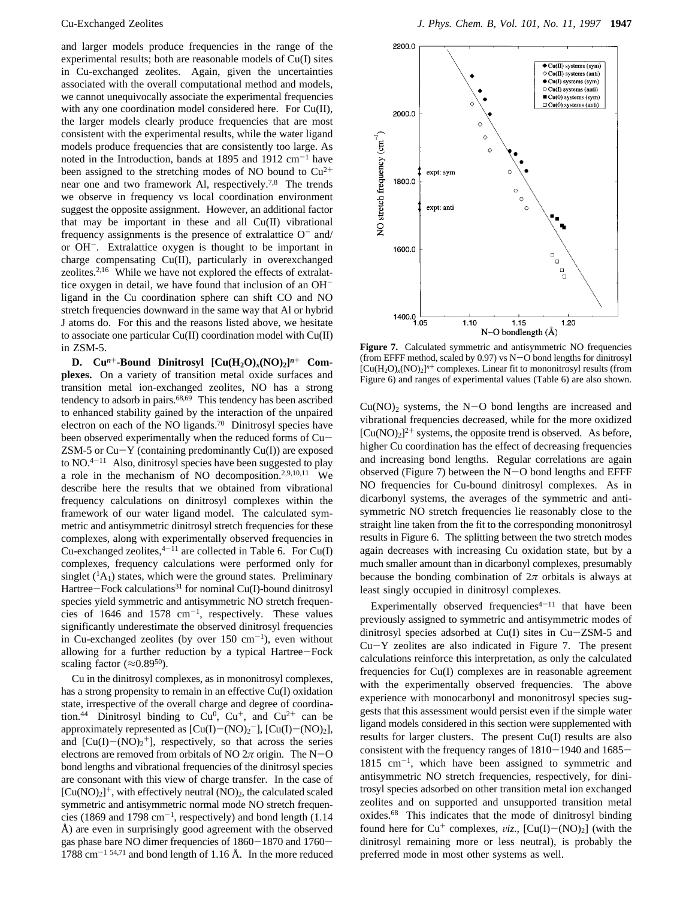and larger models produce frequencies in the range of the experimental results; both are reasonable models of Cu(I) sites in Cu-exchanged zeolites. Again, given the uncertainties associated with the overall computational method and models, we cannot unequivocally associate the experimental frequencies with any one coordination model considered here. For Cu(II), the larger models clearly produce frequencies that are most consistent with the experimental results, while the water ligand models produce frequencies that are consistently too large. As noted in the Introduction, bands at 1895 and 1912  $\text{cm}^{-1}$  have been assigned to the stretching modes of NO bound to  $Cu^{2+}$ near one and two framework Al, respectively.7,8 The trends we observe in frequency vs local coordination environment suggest the opposite assignment. However, an additional factor that may be important in these and all Cu(II) vibrational frequency assignments is the presence of extralattice  $O^-$  and/ or OH-. Extralattice oxygen is thought to be important in charge compensating Cu(II), particularly in overexchanged zeolites.2,16 While we have not explored the effects of extralattice oxygen in detail, we have found that inclusion of an OHligand in the Cu coordination sphere can shift CO and NO stretch frequencies downward in the same way that Al or hybrid J atoms do. For this and the reasons listed above, we hesitate to associate one particular Cu(II) coordination model with Cu(II) in ZSM-5.

**D.**  $Cu^{n+}-Bound$  Dinitrosyl  $[Cu(H<sub>2</sub>O)<sub>x</sub>(NO)<sub>2</sub>]^{n+}$  Com**plexes.** On a variety of transition metal oxide surfaces and transition metal ion-exchanged zeolites, NO has a strong tendency to adsorb in pairs.<sup>68,69</sup> This tendency has been ascribed to enhanced stability gained by the interaction of the unpaired electron on each of the NO ligands.70 Dinitrosyl species have been observed experimentally when the reduced forms of Cu- $ZSM-5$  or  $Cu-Y$  (containing predominantly  $Cu(I)$ ) are exposed to  $NO^{4-11}$  Also, dinitrosyl species have been suggested to play a role in the mechanism of NO decomposition.2,9,10,11 We describe here the results that we obtained from vibrational frequency calculations on dinitrosyl complexes within the framework of our water ligand model. The calculated symmetric and antisymmetric dinitrosyl stretch frequencies for these complexes, along with experimentally observed frequencies in Cu-exchanged zeolites,  $4-11$  are collected in Table 6. For Cu(I) complexes, frequency calculations were performed only for singlet  $({}^{1}A_{1})$  states, which were the ground states. Preliminary Hartree-Fock calculations<sup>31</sup> for nominal Cu(I)-bound dinitrosyl species yield symmetric and antisymmetric NO stretch frequencies of 1646 and 1578  $cm^{-1}$ , respectively. These values significantly underestimate the observed dinitrosyl frequencies in Cu-exchanged zeolites (by over  $150 \text{ cm}^{-1}$ ), even without allowing for a further reduction by a typical Hartree-Fock scaling factor ( $\approx 0.89^{50}$ ).

Cu in the dinitrosyl complexes, as in mononitrosyl complexes, has a strong propensity to remain in an effective Cu(I) oxidation state, irrespective of the overall charge and degree of coordination.<sup>44</sup> Dinitrosyl binding to Cu<sup>0</sup>, Cu<sup>+</sup>, and Cu<sup>2+</sup> can be approximately represented as  $[Cu(I) - (NO)_2]$ ,  $[Cu(I) - (NO)_2]$ , and  $[Cu(I) - (NO)_2^+]$ , respectively, so that across the series electrons are removed from orbitals of NO  $2\pi$  origin. The N-O bond lengths and vibrational frequencies of the dinitrosyl species are consonant with this view of charge transfer. In the case of  $[Cu(NO)<sub>2</sub>]$ <sup>+</sup>, with effectively neutral (NO)<sub>2</sub>, the calculated scaled symmetric and antisymmetric normal mode NO stretch frequencies (1869 and 1798 cm<sup>-1</sup>, respectively) and bond length (1.14) Å) are even in surprisingly good agreement with the observed gas phase bare NO dimer frequencies of 1860-1870 and 1760-  $1788$  cm<sup>-1 54,71</sup> and bond length of 1.16 Å. In the more reduced



**Figure 7.** Calculated symmetric and antisymmetric NO frequencies (from EFFF method, scaled by 0.97) vs N-O bond lengths for dinitrosyl  $[Cu(H<sub>2</sub>O)<sub>x</sub>(NO)<sub>2</sub>]<sup>n+</sup> complexes. Linear fit to mononitrosyl results (from$ Figure 6) and ranges of experimental values (Table 6) are also shown.

 $Cu(NO)<sub>2</sub>$  systems, the N-O bond lengths are increased and vibrational frequencies decreased, while for the more oxidized  $[Cu(NO)<sub>2</sub>]$ <sup>2+</sup> systems, the opposite trend is observed. As before, higher Cu coordination has the effect of decreasing frequencies and increasing bond lengths. Regular correlations are again observed (Figure 7) between the  $N-O$  bond lengths and EFFF NO frequencies for Cu-bound dinitrosyl complexes. As in dicarbonyl systems, the averages of the symmetric and antisymmetric NO stretch frequencies lie reasonably close to the straight line taken from the fit to the corresponding mononitrosyl results in Figure 6. The splitting between the two stretch modes again decreases with increasing Cu oxidation state, but by a much smaller amount than in dicarbonyl complexes, presumably because the bonding combination of  $2\pi$  orbitals is always at least singly occupied in dinitrosyl complexes.

Experimentally observed frequencies $4-11$  that have been previously assigned to symmetric and antisymmetric modes of dinitrosyl species adsorbed at Cu(I) sites in Cu-ZSM-5 and Cu-Y zeolites are also indicated in Figure 7. The present calculations reinforce this interpretation, as only the calculated frequencies for Cu(I) complexes are in reasonable agreement with the experimentally observed frequencies. The above experience with monocarbonyl and mononitrosyl species suggests that this assessment would persist even if the simple water ligand models considered in this section were supplemented with results for larger clusters. The present Cu(I) results are also consistent with the frequency ranges of 1810-1940 and 1685-  $1815$  cm<sup>-1</sup>, which have been assigned to symmetric and antisymmetric NO stretch frequencies, respectively, for dinitrosyl species adsorbed on other transition metal ion exchanged zeolites and on supported and unsupported transition metal oxides.68 This indicates that the mode of dinitrosyl binding found here for  $Cu^+$  complexes, *viz.*,  $[Cu(I) - (NO)_2]$  (with the dinitrosyl remaining more or less neutral), is probably the preferred mode in most other systems as well.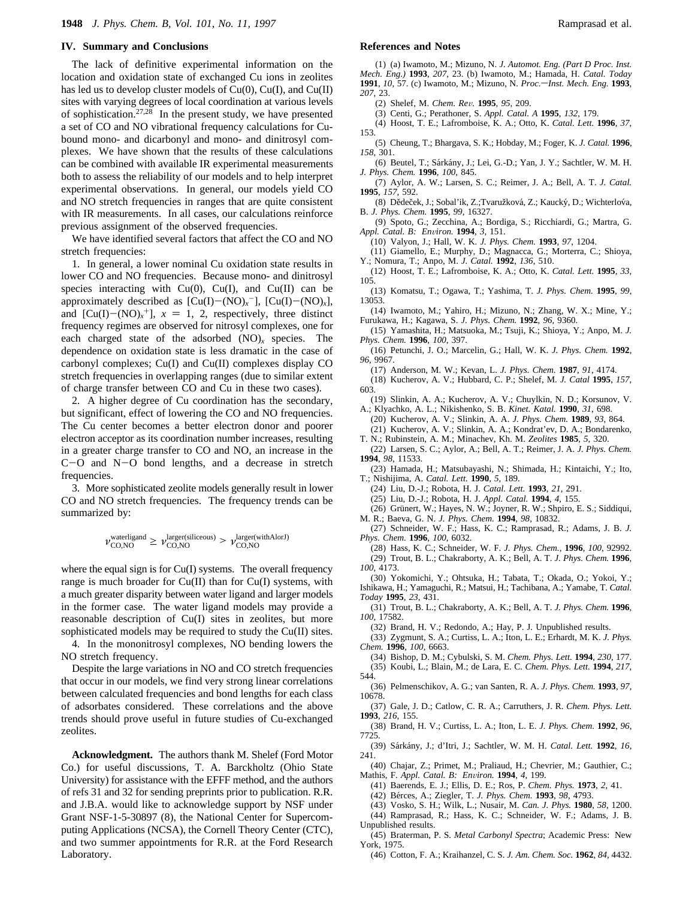#### **IV. Summary and Conclusions**

The lack of definitive experimental information on the location and oxidation state of exchanged Cu ions in zeolites has led us to develop cluster models of  $Cu(0)$ ,  $Cu(I)$ , and  $Cu(II)$ sites with varying degrees of local coordination at various levels of sophistication.<sup>27,28</sup> In the present study, we have presented a set of CO and NO vibrational frequency calculations for Cubound mono- and dicarbonyl and mono- and dinitrosyl complexes. We have shown that the results of these calculations can be combined with available IR experimental measurements both to assess the reliability of our models and to help interpret experimental observations. In general, our models yield CO and NO stretch frequencies in ranges that are quite consistent with IR measurements. In all cases, our calculations reinforce previous assignment of the observed frequencies.

We have identified several factors that affect the CO and NO stretch frequencies:

1. In general, a lower nominal Cu oxidation state results in lower CO and NO frequencies. Because mono- and dinitrosyl species interacting with  $Cu(0)$ ,  $Cu(I)$ , and  $Cu(II)$  can be approximately described as  $[Cu(I) - (NO)<sub>x</sub>$ <sup>-</sup>],  $[Cu(I) - (NO)<sub>x</sub>]$ , and  $[Cu(I) - (NO)<sub>x</sub><sup>+</sup>], x = 1, 2, respectively, three distinct$ frequency regimes are observed for nitrosyl complexes, one for each charged state of the adsorbed (NO)*<sup>x</sup>* species. The dependence on oxidation state is less dramatic in the case of carbonyl complexes; Cu(I) and Cu(II) complexes display CO stretch frequencies in overlapping ranges (due to similar extent of charge transfer between CO and Cu in these two cases).

2. A higher degree of Cu coordination has the secondary, but significant, effect of lowering the CO and NO frequencies. The Cu center becomes a better electron donor and poorer electron acceptor as its coordination number increases, resulting in a greater charge transfer to CO and NO, an increase in the C-O and N-O bond lengths, and a decrease in stretch frequencies.

3. More sophisticated zeolite models generally result in lower CO and NO stretch frequencies. The frequency trends can be summarized by:

$$
\nu^{\text{waterligand}}_{\text{CO,NO}} \geq \nu^{\text{larger(siliceous)}}_{\text{CO,NO}} > \nu^{\text{larger(withAlorJ)}}_{\text{CO,NO}}
$$

where the equal sign is for Cu(I) systems. The overall frequency range is much broader for  $Cu(II)$  than for  $Cu(I)$  systems, with a much greater disparity between water ligand and larger models in the former case. The water ligand models may provide a reasonable description of Cu(I) sites in zeolites, but more sophisticated models may be required to study the Cu(II) sites.

4. In the mononitrosyl complexes, NO bending lowers the NO stretch frequency.

Despite the large variations in NO and CO stretch frequencies that occur in our models, we find very strong linear correlations between calculated frequencies and bond lengths for each class of adsorbates considered. These correlations and the above trends should prove useful in future studies of Cu-exchanged zeolites.

**Acknowledgment.** The authors thank M. Shelef (Ford Motor Co.) for useful discussions, T. A. Barckholtz (Ohio State University) for assistance with the EFFF method, and the authors of refs 31 and 32 for sending preprints prior to publication. R.R. and J.B.A. would like to acknowledge support by NSF under Grant NSF-1-5-30897 (8), the National Center for Supercomputing Applications (NCSA), the Cornell Theory Center (CTC), and two summer appointments for R.R. at the Ford Research Laboratory.

#### **References and Notes**

(1) (a) Iwamoto, M.; Mizuno, N. *J. Automot. Eng. (Part D Proc. Inst. Mech. Eng*.*)* **1993**, *207*, 23. (b) Iwamoto, M.; Hamada, H. *Catal. Today* **1991**, *10*, 57. (c) Iwamoto, M.; Mizuno, N. *Proc.*-*Inst. Mech. Eng.* **1993**, *207*, 23.

(2) Shelef, M. *Chem. Re*V*.* **1995**, *95*, 209.

- (3) Centi, G.; Perathoner, S. *Appl. Catal. A* **1995**, *132*, 179.
- (4) Hoost, T. E.; Lafromboise, K. A.; Otto, K. *Catal. Lett.* **1996**, *37*,
- 153. (5) Cheung, T.; Bhargava, S. K.; Hobday, M.; Foger, K. *J. Catal.* **1996**, *158*, 301.
- (6) Beutel, T.; Sárkány, J.; Lei, G.-D.; Yan, J. Y.; Sachtler, W. M. H. *J. Phys. Chem.* **1996**, *100*, 845.
- (7) Aylor, A. W.; Larsen, S. C.; Reimer, J. A.; Bell, A. T. *J. Catal.* **1995**, *157*, 592.
- (8) Dědeček, J.; Sobal'ik, Z.; Tvaružková, Z.; Kaucký, D.; Wichterlova, B. *J. Phys. Chem.* **1995**, *99*, 16327.
- (9) Spoto, G.; Zecchina, A.; Bordiga, S.; Ricchiardi, G.; Martra, G. *Appl. Catal. B: En*V*iron.* **1994**, *3*, 151.
- (10) Valyon, J.; Hall, W. K. *J. Phys. Chem.* **1993**, *97*, 1204.
- (11) Giamello, E.; Murphy, D.; Magnacca, G.; Morterra, C.; Shioya, Y.; Nomura, T.; Anpo, M. *J. Catal.* **1992**, *136*, 510.
- (12) Hoost, T. E.; Lafromboise, K. A.; Otto, K. *Catal. Lett.* **1995**, *33*, 105.
- (13) Komatsu, T.; Ogawa, T.; Yashima, T. *J. Phys. Chem.* **1995**, *99*, 13053.
- (14) Iwamoto, M.; Yahiro, H.; Mizuno, N.; Zhang, W. X.; Mine, Y.; Furukawa, H.; Kagawa, S. *J. Phys. Chem.* **1992**, *96*, 9360.
- (15) Yamashita, H.; Matsuoka, M.; Tsuji, K.; Shioya, Y.; Anpo, M. *J. Phys. Chem.* **1996**, *100*, 397.
- (16) Petunchi, J. O.; Marcelin, G.; Hall, W. K. *J. Phys. Chem.* **1992**, *96*, 9967.
	- (17) Anderson, M. W.; Kevan, L. *J. Phys. Chem.* **1987**, *91*, 4174.
- (18) Kucherov, A. V.; Hubbard, C. P.; Shelef, M. *J. Catal* **1995**, *157*, 603.
- (19) Slinkin, A. A.; Kucherov, A. V.; Chuylkin, N. D.; Korsunov, V. A.; Klyachko, A. L.; Nikishenko, S. B. *Kinet. Katal.* **1990**, *31*, 698.
- (20) Kucherov, A. V.; Slinkin, A. A. *J. Phys. Chem.* **1989**, *93*, 864. (21) Kucherov, A. V.; Slinkin, A. A.; Kondrat'ev, D. A.; Bondarenko,
- T. N.; Rubinstein, A. M.; Minachev, Kh. M. *Zeolites* **1985**, *5*, 320. (22) Larsen, S. C.; Aylor, A.; Bell, A. T.; Reimer, J. A. *J. Phys. Chem.*
- **1994**, *98*, 11533. (23) Hamada, H.; Matsubayashi, N.; Shimada, H.; Kintaichi, Y.; Ito,
- T.; Nishijima, A. *Catal. Lett.* **1990**, *5*, 189.
	- (24) Liu, D.-J.; Robota, H. J. *Catal. Lett.* **1993**, *21*, 291.
	- (25) Liu, D.-J.; Robota, H. J. *Appl. Catal.* **1994**, *4*, 155.
- (26) Grünert, W.; Hayes, N. W.; Joyner, R. W.; Shpiro, E. S.; Siddiqui, M. R.; Baeva, G. N. *J. Phys. Chem.* **1994**, *98*, 10832.

(27) Schneider, W. F.; Hass, K. C.; Ramprasad, R.; Adams, J. B. *J. Phys. Chem.* **1996**, *100*, 6032.

(28) Hass, K. C.; Schneider, W. F. *J. Phys. Chem.*, **1996**, *100*, 92992. (29) Trout, B. L.; Chakraborty, A. K.; Bell, A. T. *J. Phys. Chem.* **1996**, *100*, 4173.

(30) Yokomichi, Y.; Ohtsuka, H.; Tabata, T.; Okada, O.; Yokoi, Y.; Ishikawa, H.; Yamaguchi, R.; Matsui, H.; Tachibana, A.; Yamabe, T. *Catal. Today* **1995**, *23*, 431.

- (31) Trout, B. L.; Chakraborty, A. K.; Bell, A. T. *J. Phys. Chem.* **1996**, *100*, 17582.
	- (32) Brand, H. V.; Redondo, A.; Hay, P. J. Unpublished results.

(33) Zygmunt, S. A.; Curtiss, L. A.; Iton, L. E.; Erhardt, M. K. *J. Phys. Chem.* **1996**, *100*, 6663.

- (34) Bishop, D. M.; Cybulski, S. M. *Chem. Phys. Lett.* **1994**, *230*, 177.
- (35) Koubi, L.; Blain, M.; de Lara, E. C. *Chem. Phys. Lett.* **1994**, *217*,
- 544. (36) Pelmenschikov, A. G.; van Santen, R. A. *J. Phys. Chem.* **1993**, *97*, 10678.
- (37) Gale, J. D.; Catlow, C. R. A.; Carruthers, J. R. *Chem. Phys. Lett.*
- **1993**, *216*, 155. (38) Brand, H. V.; Curtiss, L. A.; Iton, L. E. *J. Phys. Chem.* **1992**, *96*, 7725.
- (39) Sa´rka´ny, J.; d'Itri, J.; Sachtler, W. M. H. *Catal. Lett.* **1992**, *16*, 241.
- (40) Chajar, Z.; Primet, M.; Praliaud, H.; Chevrier, M.; Gauthier, C.; Mathis, F. *Appl. Catal. B: En*V*iron.* **1994**, *4*, 199.
	- (41) Baerends, E. J.; Ellis, D. E.; Ros, P. *Chem. Phys.* **1973**, *2*, 41.
	- (42) Be´rces, A.; Ziegler, T. *J. Phys. Chem.* **1993**, *98*, 4793.
- (43) Vosko, S. H.; Wilk, L.; Nusair, M. *Can. J. Phys.* **1980**, *58*, 1200.
- (44) Ramprasad, R.; Hass, K. C.; Schneider, W. F.; Adams, J. B. Unpublished results.
- (45) Braterman, P. S. *Metal Carbonyl Spectra*; Academic Press: New York, 1975.
- (46) Cotton, F. A.; Kraihanzel, C. S. *J. Am. Chem. Soc.* **1962**, *84*, 4432.